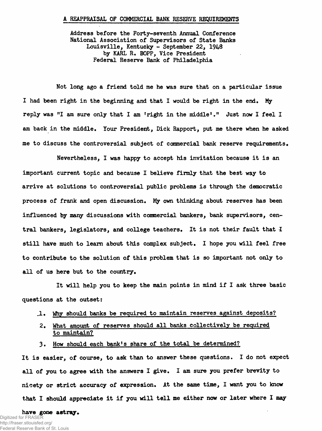#### **A REAPPRAISAL OF COMMERCIAL BANK RESERVE REQUIREMENTS**

Address before the Forty-seventh Annual Conference National Association of Supervisors of State Banks Louisville, Kentucky - September **22,** 1948 by KARL R. BOPP, Vice President Federal Reserve Bank of Philadelphia

Not long ago a friend told me he was sure that on a particular issue I had been right in the beginning and that I would be right in the end. My reply was "I am sure only that I am 'right in the middle'." Just now I feel I am back in the middle. Your President, Dick Rapport, put me there when he asked me to discuss the controversial subject of commercial bank reserve requirements.

Nevertheless, I was happy to accept his invitation because it is an important current topic and because I believe firmly that the best way to arrive at solutions to controversial public problems is through the democratic process of frank and open discussion. My own thinking about reserves has been influenced by many discussions with commercial bankers, bank supervisors, central bankers, legislators, and college teachers. It is not their fault that I still have much to learn about this complex subject, I hope you will feel free to contribute to the solution of this problem that is so important not only to all of us here but to the country.

It will help you to keep the main points in mind if I ask three basic questions at the outset:

- J L . **Why should banks be required to maintain reserves against deposits?**
- **2, What amount of reserves should all banks collectively be required to maintain?**
- 3, How should each bank's share of the total be determined?

It is easier, of course, to ask than to answer these questions. I do not expect all of you to agree with the answers I give. I am sure you prefer brevity to nicety or strict accuracy of expression. At the same time, I want you to know that I should appreciate it if you will tell me either now or later where I may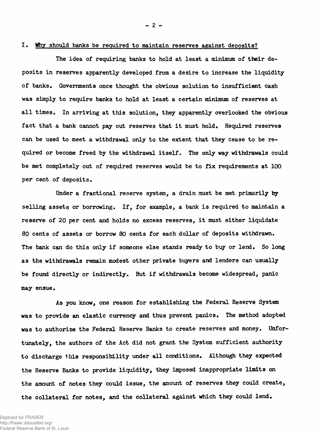# **I. Why should banks be required to maintain reserves against deposits?**

**The idea of requiring banks to hold at least a minimum of their deposits in reserves apparently developed from a desire to increase the liquidity** of banks. Governments once thought the obvious solution to insufficient cash **was simply to require banks to hold at least a certain minimum of reserves at all times. In arriving at this solution, they apparently overlooked the obvious fact that a bank cannot pay out reserves that it must hold. Required reserves can be used to meet a withdrawal only to the extent that they cease to be required or become freed by the withdrawal itself. The only way withdrawals could be met completely out of required reserves would be to fix requirements at 100 per cent of deposits.**

**Under a fractional reserve system, a drain must be met primarily by selling assets or borrowing. If, for example, a bank is required to maintain a reserve of 20 per cent and holds no excess reserves, it must either liquidate 80 cents of assets or borrow 80 cents for each dollar of deposits withdrawn. The bank can do this only if someone else stands ready to buy or lend. So long as the withdrawals remain modest other private buyers and lenders can usually be found directly or indirectly. But if withdrawals become widespread, panic may ensue.**

**As you know, one reason for establishing the Federal Reserve System was to provide an elastic currency and thus prevent panics. The method adopted was to authorize the Federal Reserve Banks to create reserves and money. Unfortunately, the authors of the Act did not grant the System sufficient authority to discharge this responsibility under all conditions. Although they expected the Reserve Banks to provide liquidity, they imposed inappropriate limits on the amount of notes they could issue, the amount of reserves they could create, the collateral for notes, and the collateral against which they could lend.**

Digitized for FRASER http://fraser.stlouisfed.org/ Federal Reserve Bank of St. Louis **- 2 -**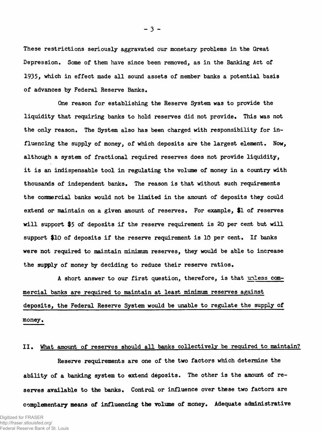**These restrictions seriously aggravated our monetary problems in the Great Depression. Some of them have since been removed, as in the Banking Act of 1935, which in effect made all sound assets of member banks a potential basis of advances by Federal Reserve Banks.**

**One reason for establishing the Reserve System was to provide the liquidity that requiring banks to hold reserves did not provide\* This was not the only reason. The System also has been charged with responsibility for influencing the supply of money, of which deposits are the largest element. Now, although a system of fractional required reserves does not provide liquidity, it is an indispensable tool in regulating the volume of money in a country with thousands of independent banks. The reason is that without such requirements the commercial banks would not be limited in the amount of deposits they could extend or maintain on a given amount of reserves. For example, \$1 of reserves will support \$5 of deposits if the reserve requirement is 20 per cent but will** support \$10 of deposits if the reserve requirement is 10 per cent. If banks **were not required to maintain minimum reserves, they would be able to increase** the supply of money by deciding to reduce their reserve ratios.

**A short answer to our first question, therefore, is that unless commercial banks are required to maintain at least minimum reserves against deposits, the Federal Reserve System would be unable to regulate the supply of** money.

### II. What amount of reserves should all banks collectively be required to maintain?

**Reserve requirements are one of the two factors which determine the ability of a banking system to extend deposits. The other is the amount of re**serves available to the banks. Control or influence over these two factors are complementary means of influencing the volume of money. Adequate administrative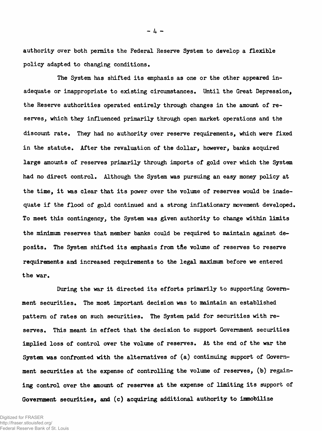**authority over both permits the Federal Reserve System to develop a flexible policy adapted to changing conditions.**

**The System has shifted its emphasis as one or the other appeared inadequate or inappropriate to existing circumstances. Until the Great Depression, the Reserve authorities operated entirely through changes in the amount of re**serves, which they influenced primarily through open market operations and the **discount rate. They had no authority over reserve requirements, which were fixed in the statute. After the revaluation of the dollar, however, banks acquired large amounts of reserves primarily through imports of gold over which the System had no direct control. Although the System was pursuing an easy money policy at the time, it was clear that its power over the volume of reserves would be inadequate if the flood of gold continued and a strong inflationary movement developed. To meet this contingency, the System was given authority to change within limits the minimum reserves that member banks could be required to maintain against deposits, The System shifted its emphasis from the volume of reserves to reserve requirements and increased requirements to the legal maximum before we entered the war.**

**During the war it directed its efforts primarily to supporting Government securities. The most important decision was to maintain an established pattern of rates on such securities. The System paid for securities with reserves, This meant in effect that the decision to support Government securities implied loss of control over the volume of reserves. At the end of the war the System was confronted with the alternatives of (a) continuing support of Government securities at the expense of controlling the volume of reserves, (b) regaining control over the amount of reserves at the expense of limiting its support of Government securities, and (c) acquiring additional authority to immobilize**

**- 4 -**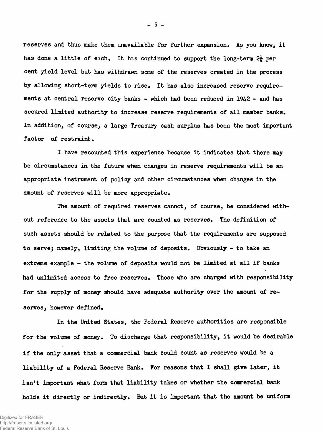**reserves and thus make them unavailable for further expansion. As you know, it** has done a little of each. It has continued to support the long-term 2<sup>2</sup>/<sub>2</sub> per **cent yield level but has withdrawn some of the reserves created in the process by allowing short-term yields to rise. It has also increased reserve requirements at central reserve city banks - which had been reduced in 1942 - and has secured limited authority to increase reserve requirements of all member banks. In addition, of course, a large Treasury cash surplus has been the most important factor of restraint.**

**I have recounted this experience because it indicates that there may be circumstances in the future when changes in reserve requirements will be an appropriate instrument of policy and other circumstances when changes in the amount of reserves will be more appropriate.**

**The amount of required reserves cannot, of course, be considered without reference to the assets that are counted as reserves. The definition of such assets should be related to the purpose that the requirements are supposed to serve; namely, limiting the volume of deposits. Obviously - to take an extreme example - the volume of deposits would not be limited at all if banks had unlimited access to free reserves. Those who are charged with responsibility for the supply of money should have adequate authority over the amount of reserves, however defined.**

**In the United States, the Federal Reserve authorities are responsible for the volume of money. To discharge that responsibility, it would be desirable if the only asset that a commercial bank could count as reserves would be a liability of a Federal Reserve Bank. For reasons that I shall give later, it isn't important what form that liability takes or whether the ccnmercial bank holds it directly or indirectly. But it is important that the amount be uniform**

**- 5 -**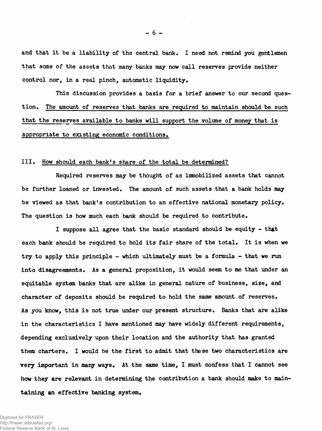**and that it be a liability of the central bank. I need not remind you gentlemen that some of the assets that many banks may now call reserves provide neither** control nor, in a real pinch, automatic liquidity.

**This discussion provides a basis for a brief answer to our second question. The amount of reserves that banks are required to maintain should be such that the reserves available to banks will support the volume of money that is appropriate to existing economic conditions.**

# **III. How should each bank's share of the total be determined?**

**Required reserves may be thought of as immobilized assets that cannot be further loaned or invested. The amount of such assets that a bank holds may be viewed as that bank's contribution to an effective national monetary policy. The question is how much each bank should be required to contribute.**

**I suppose all agree that the basic standard should be equity - that each bank should be required to hold its fair share of the total. It is when we try to apply this principle - which ultimately must be a formula - that we run into disagreements. As a general proposition, it would seem to me that under an equitable system banks that are alike in general nature of business, size, and character of deposits should be required to hold the same amount of reserves. As you know, this is not true under our present structure. Banks that are alike in the characteristics I have mentioned may have widely different requirements, depending exclusively upon their location and the authority that has granted than charters. I would be the first to admit that these two characteristics are very important in many ways.** At the same time, I must confess that I cannot see **how they are relevant in determining the contribution a bank should make to maintaining an effective banking system.**

Digitized for FRASER http://fraser.stlouisfed.org/ Federal Reserve Bank of St. Louis **- 6 -**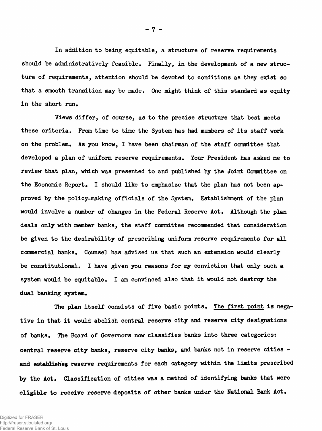**In addition to being equitable, a structure of reserve requirements should be administratively feasible. Finally, in the development of a new structure of requirements, attention should be devoted to conditions as they exist so that a smooth transition may be made. One might think of this standard as equity in the short run.**

**Views differ, of course, as to the precise structure that best meets these criteria. From time to time the System has had members of its staff work on the problem. As you know, I have been chairman of the staff committee that developed a plan of uniform reserve requirements. Your President has asked me to review that plan, which was presented to and published by the Joint Committee on the Economic Report. I should like to emphasize that the plan has not been approved by the policy-making officials of the System, Establishment of the plan would involve a number of changes in the Federal Reserve Act, Although the plan deals only with member banks, the staff committee recommended that consideration be given to the desirability of prescribing uniform reserve requirements for all commercial banks. Counsel has advised us that such an extension would clearly be constitutional, I have given you reasons for my conviction that only such a system would be equitable, I am convinced also that it would not destroy the dual banking system.**

The plan itself consists of five basic points. The first point is nega**tive in that it would abolish central reserve city and reserve city designations of banks. The Board of Governors now classifies banks into three categories: central reserve city banks, reserve city banks, and banks not in reserve cities and establishes reserve requirements for each category within the limits prescribed by the Act. Classification of cities was a method of identifying banks that were eligible to receive reserve deposits of other banks under the National Bank Act.**

**- 7 -**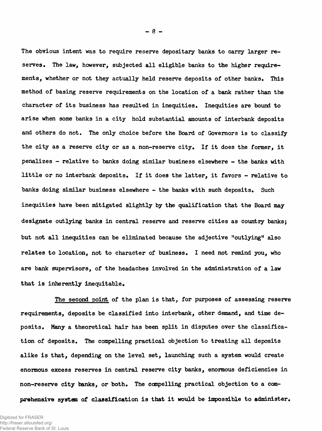**The obvious intent was to require reserve depositary banks to carry larger re**serves. The law, however, subjected all eligible banks to the higher requirements, whether or not they actually held reserve deposits of other banks. This **method of basing reserve requirements on the location of a bank rather than the character of its business has resulted in inequities\* Inequities are bound to arise when some banks in a city hold substantial amounts of interbank deposits and others do not. The only choice before the Board of Governors is to classify the city as a reserve city or as a non-reserve city. If it does the former, it penalizes - relative to banks doing similar business elsewhere - the banks with little or no interbank deposits\* If it does the latter, it favors - relative to banks doing similar business elsewhere - the banks with such deposits. Such inequities have been mitigated slightly by the qualification that the Board may designate outlying banks in central reserve and reserve cities as country banks; but not all inequities can be eliminated because the adjective "outlying11 also relates to location, not to character of business. I need not remind you, who are bank supervisors, of the headaches involved in the administration of a law that is inherently inequitable.**

**The second point of the plan is that, for purposes of assessing reserve requirements, deposits be classified into interbank, other demand, and time deposits. Many a theoretical hair has been split in disputes over the classification of deposits. The compelling practical objection to treating all deposits alike is that, depending on the level set, launching such a system would create enormous excess reserves in central reserve city banks, enormous deficiencies in non-reserve city banks, or both. The compelling practical objection to a comprehensive system of classification is that it would be impossible to administer.**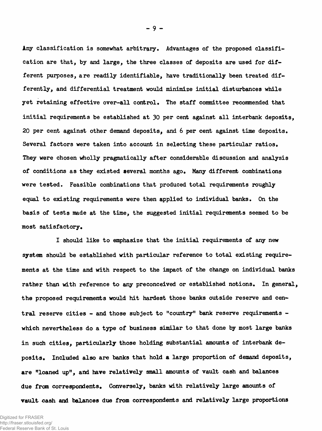**Any classification is somewhat arbitrary. Advantages of the proposed classification are that, by and large, the three classes of deposits are used for different purposes, are readily identifiable, have traditionally been treated differently, and differential treatment would minimize initial disturbances while yet retaining effective over-all control. The staff committee recommended that initial requirements be established at 30 per cent against all interbank deposits, 20 per cent against other demand deposits, and 6 per cent against time deposits. Several factors were taken into account in selecting these particular ratios. They were chosen wholly pragmatically after considerable discussion and analysis** of conditions as they existed several months ago. Many different combinations **were tested. Feasible combinations that produced total requirements roughly equal to existing requirements were then applied to individual banks. On the basis of tests made at the time, the suggested initial requirements seemed to be** most satisfactory.

**I should like to emphasize that the initial requirements of any new system should be established with particular reference to total existing requirements at the time and with respect to the impact of the change on individual banks rather than with reference to any preconceived or established notions. In general, the proposed requirements would hit hardest those banks outside reserve and central reserve cities - and those subject to "country" bank reserve requirements which nevertheless do a type of business similar to that done by most large banks in such cities, particularly those holding substantial amounts of interbank deposits. Included also are banks that hold a large proportion of demand deposits, are "loaned up", and have relatively small amounts of vault cash and balances due from correspondents. Conversely, banks with relatively large amounts of vault cash and balances due from correspondents and relatively large proportions**

**- 9 -**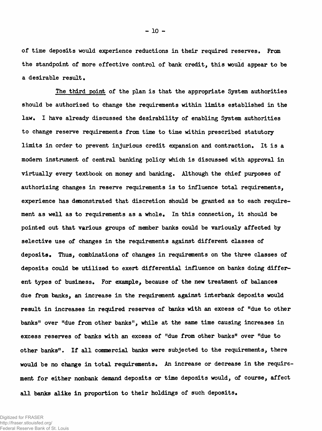**of time deposits would experience reductions in their required reserves. From the standpoint of more effective control of bank credit, this would appear to be a desirable result.**

**The third point of the plan is that the appropriate System authorities should be authorized to change the requirements within limits established in the law, I have already discussed the desirability of enabling System authorities to change reserve requirements from time to time within prescribed statutory limits in order to prevent injurious credit expansion and contraction. It is a modem instrument of central banking policy which is discussed with approval in virtually every textbook on money and banking. Although the chief purposes of authorizing changes in reserve requirements is to influence total requirements, experience has demonstrated that discretion should be granted as to each requirement as well as to requirements as a whole. In this connection, it should be pointed out that various groups of member banks could be variously affected by selective use of changes in the requirements against different classes of deposits. Thus, combinations of changes in requirements on the three classes of deposits could be utilized to exert differential influence on banks doing different types of business. For example, because of the new treatment of balances due from banks, an increase in the requirement against interbank deposits would result in increases in required reserves of banks with an excess of "due to other banks" over "due from other banks", while at the same time causing increases in excess reserves of banks with an excess of "due from other banks" over "due to other banks". If all commercial banks were subjected to the requirements, there would be no change in total requirements. An increase or decrease in the requirement for either nonbank demand deposits or time deposits would, of course, affect »11 banks alike in proportion to their holdings of such deposits.**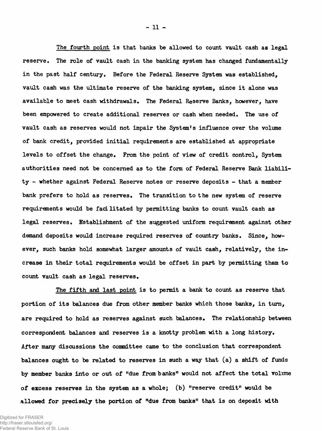**The fourth point is that banks be allowed to count vault cash as legal reserve. The role of vault cash in the banking system has changed fundamentally in the past half century. Before the Federal Reserve System was established, vault cash was the ultimate reserve of the banking system, since it alone was available to meet cash withdrawals\* The Federal Reserve Banks, however, have been empowered to create additional reserves or cash when needed. The use of vault cash as reserves would not impair the System's influence over the volume of bank credit, provided initial requirements are established at appropriate** levels to offset the change. From the point of view of credit control, System **authorities need not be concerned as to the form of Federal Reserve Bank liability - whether against Federal Reserve notes or reserve deposits - that a member** bank prefers to hold as reserves. The transition to the new system of reserve **requirements would be facilitated by permitting banks to count vault cash as** legal reserves. Establishment of the suggested uniform requirement against other demand deposits would increase required reserves of country banks. Since, how**ever, such banks hold somewhat larger amounts of vault cash, relatively, the increase in their total requirements would be offset in part by permitting them to count vault cash as legal reserves.**

**The fifth and last point is to permit a bank to count as reserve that portion of its balances due from other member banks which those banks, in turn, are required to hold as reserves against such balances. The relationship between correspondent balances and reserves is a knotty problem with a long history\* After many discussions the committee came to the conclusion that correspondent balances ought to be related to reserves in such a way that (a) a shift of funds by member banks into or out of Hdue from banks" would not affect the total volume of excess reserves in the system as a whole; (b) "reserve credit" would be allowed for precisely the portion of "due from banks" that is on deposit with**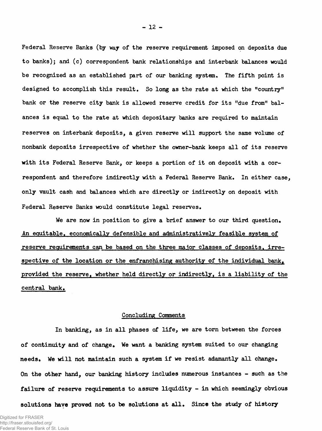**Federal Reserve Banks (by way of the reserve requirement imposed on deposits due to banks); and (c) correspondent bank relationships and interbank balances would be recognized as an established part of our banking system. The fifth point is designed to accomplish this result. So long as the rate at which the "country" bank or the reserve city bank is allowed reserve credit for its "due from" balances is equal to the rate at which depositary banks are required to maintain reserves on interbank deposits, a given reserve will support the same volume of nonbank deposits irrespective of whether the owner-bank keeps all of its reserve with its Federal Reserve Bank, or keeps a portion of it on deposit with a correspondent and therefore indirectly with a Federal Reserve Bank. In either case, only vault cash and balances which are directly or indirectly on deposit with Federal Reserve Banks would constitute legal reserves.**

**We are now in position to give a brief answer to our third question. An equitable, economically defensible and administratively feasible system of reserve requirements can be based on the three ma.ior classes of deposits, irrespective of the location or the enfranchising authority of the individual bank,** provided the reserve, whether held directly or indirectly, is a liability of the **central bank.**

# **Concluding Comments**

**In banking, as in all phases of life, we are torn between the forces of continuity and of change. We want a banking system suited to our changing needs. We will not maintain such a system if we resist adamantly all change. On the other hand, our banking history includes numerous instances - such as the failure of reserve requirements to assure liquidity - in which seemingly obvious**

**solutions have proved not to be solutions at all. Since the study of history**